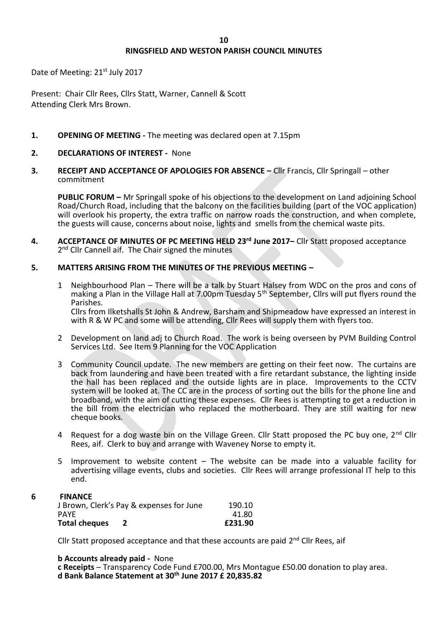# **RINGSFIELD AND WESTON PARISH COUNCIL MINUTES**

Date of Meeting: 21<sup>st</sup> July 2017

Present: Chair Cllr Rees, Cllrs Statt, Warner, Cannell & Scott Attending Clerk Mrs Brown.

- **1. OPENING OF MEETING -** The meeting was declared open at 7.15pm
- **2. DECLARATIONS OF INTEREST** None
- **3. RECEIPT AND ACCEPTANCE OF APOLOGIES FOR ABSENCE –** Cllr Francis, Cllr Springall other commitment

**PUBLIC FORUM –** Mr Springall spoke of his objections to the development on Land adjoining School Road/Church Road, including that the balcony on the facilities building (part of the VOC application) will overlook his property, the extra traffic on narrow roads the construction, and when complete. the guests will cause, concerns about noise, lights and smells from the chemical waste pits.

**4. ACCEPTANCE OF MINUTES OF PC MEETING HELD 23rd June 2017–** Cllr Statt proposed acceptance 2<sup>nd</sup> Cllr Cannell aif. The Chair signed the minutes

### **5. MATTERS ARISING FROM THE MINUTES OF THE PREVIOUS MEETING –**

- 1 Neighbourhood Plan There will be a talk by Stuart Halsey from WDC on the pros and cons of making a Plan in the Village Hall at 7.00pm Tuesday 5<sup>th</sup> September, Cllrs will put flyers round the Parishes. Cllrs from Ilketshalls St John & Andrew, Barsham and Shipmeadow have expressed an interest in with R & W PC and some will be attending, Cllr Rees will supply them with flyers too.
- 2 Development on land adj to Church Road. The work is being overseen by PVM Building Control Services Ltd. See Item 9 Planning for the VOC Application
- 3 Community Council update. The new members are getting on their feet now. The curtains are back from laundering and have been treated with a fire retardant substance, the lighting inside the hall has been replaced and the outside lights are in place. Improvements to the CCTV system will be looked at. The CC are in the process of sorting out the bills for the phone line and broadband, with the aim of cutting these expenses. Cllr Rees is attempting to get a reduction in the bill from the electrician who replaced the motherboard. They are still waiting for new cheque books.
- 4 Request for a dog waste bin on the Village Green. Cllr Statt proposed the PC buy one, 2<sup>nd</sup> Cllr Rees, aif. Clerk to buy and arrange with Waveney Norse to empty it.
- 5 Improvement to website content The website can be made into a valuable facility for advertising village events, clubs and societies. Cllr Rees will arrange professional IT help to this end.

# **6 FINANCE**

| J Brown, Clerk's Pay & expenses for June |  | 190.10  |
|------------------------------------------|--|---------|
| <b>PAYE</b>                              |  | 41.80   |
| <b>Total cheques</b>                     |  | £231.90 |

Cllr Statt proposed acceptance and that these accounts are paid 2<sup>nd</sup> Cllr Rees, aif

**b Accounts already paid -** None

**c Receipts** – Transparency Code Fund £700.00, Mrs Montague £50.00 donation to play area. **d Bank Balance Statement at 30th June 2017 £ 20,835.82**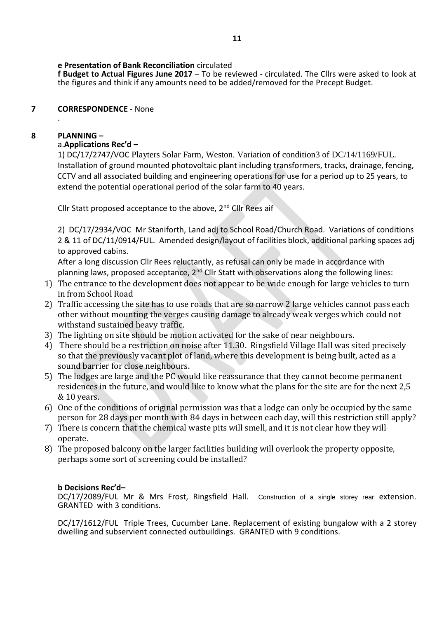# **e Presentation of Bank Reconciliation** circulated

**f Budget to Actual Figures June 2017** – To be reviewed - circulated. The Cllrs were asked to look at the figures and think if any amounts need to be added/removed for the Precept Budget.

### **7 CORRESPONDENCE** - None .

## **8 PLANNING –**

# a.**Applications Rec'd –**

1) DC/17/2747/VOC Playters Solar Farm, Weston. Variation of condition3 of DC/14/1169/FUL. Installation of ground mounted photovoltaic plant including transformers, tracks, drainage, fencing, CCTV and all associated building and engineering operations for use for a period up to 25 years, to extend the potential operational period of the solar farm to 40 years.

Cllr Statt proposed acceptance to the above, 2<sup>nd</sup> Cllr Rees aif

2) DC/17/2934/VOC Mr Staniforth, Land adj to School Road/Church Road. Variations of conditions 2 & 11 of DC/11/0914/FUL. Amended design/layout of facilities block, additional parking spaces adj to approved cabins.

After a long discussion Cllr Rees reluctantly, as refusal can only be made in accordance with planning laws, proposed acceptance, 2<sup>nd</sup> Cllr Statt with observations along the following lines:

- 1) The entrance to the development does not appear to be wide enough for large vehicles to turn in from School Road
- 2) Traffic accessing the site has to use roads that are so narrow 2 large vehicles cannot pass each other without mounting the verges causing damage to already weak verges which could not withstand sustained heavy traffic.
- 3) The lighting on site should be motion activated for the sake of near neighbours.
- 4) There should be a restriction on noise after 11.30. Ringsfield Village Hall was sited precisely so that the previously vacant plot of land, where this development is being built, acted as a sound barrier for close neighbours.
- 5) The lodges are large and the PC would like reassurance that they cannot become permanent residences in the future, and would like to know what the plans for the site are for the next 2,5 & 10 years.
- 6) One of the conditions of original permission was that a lodge can only be occupied by the same person for 28 days per month with 84 days in between each day, will this restriction still apply?
- 7) There is concern that the chemical waste pits will smell, and it is not clear how they will operate.
- 8) The proposed balcony on the larger facilities building will overlook the property opposite, perhaps some sort of screening could be installed?

## **b Decisions Rec'd–**

DC/17/2089/FUL Mr & Mrs Frost, Ringsfield Hall. Construction of a single storey rear extension. GRANTED with 3 conditions.

DC/17/1612/FUL Triple Trees, Cucumber Lane. Replacement of existing bungalow with a 2 storey dwelling and subservient connected outbuildings. GRANTED with 9 conditions.